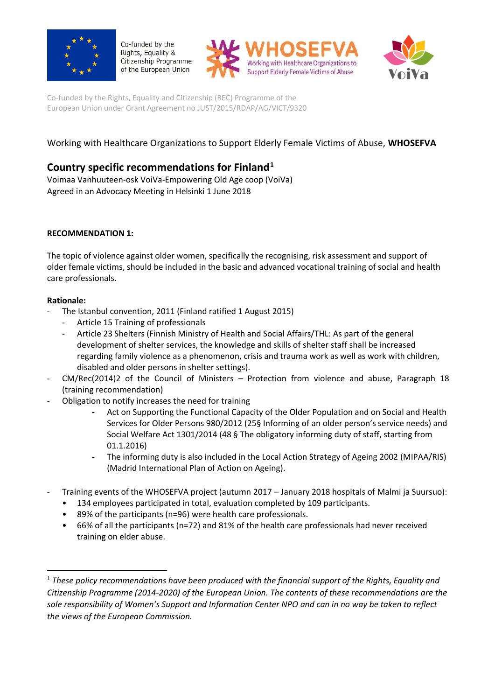

Co-funded by the Rights, Equality & Citizenship Programme of the European Union





Co-funded by the Rights, Equality and Citizenship (REC) Programme of the European Union under Grant Agreement no JUST/2015/RDAP/AG/VICT/9320

# Working with Healthcare Organizations to Support Elderly Female Victims of Abuse, **WHOSEFVA**

# **Country specific recommendations for Finland<sup>1</sup>**

Voimaa Vanhuuteen-osk VoiVa-Empowering Old Age coop (VoiVa) Agreed in an Advocacy Meeting in Helsinki 1 June 2018

### **RECOMMENDATION 1:**

The topic of violence against older women, specifically the recognising, risk assessment and support of older female victims, should be included in the basic and advanced vocational training of social and health care professionals.

#### **Rationale:**

- The Istanbul convention, 2011 (Finland ratified 1 August 2015)
	- Article 15 Training of professionals
	- Article 23 Shelters (Finnish Ministry of Health and Social Affairs/THL: As part of the general development of shelter services, the knowledge and skills of shelter staff shall be increased regarding family violence as a phenomenon, crisis and trauma work as well as work with children, disabled and older persons in shelter settings).
- CM/Rec(2014)2 of the Council of Ministers Protection from violence and abuse, Paragraph 18 (training recommendation)
- Obligation to notify increases the need for training
	- **-** Act on Supporting the Functional Capacity of the Older Population and on Social and Health Services for Older Persons 980/2012 (25§ Informing of an older person's service needs) and Social Welfare Act 1301/2014 (48 § The obligatory informing duty of staff, starting from 01.1.2016)
	- **-** The informing duty is also included in the Local Action Strategy of Ageing 2002 (MIPAA/RIS) (Madrid International Plan of Action on Ageing).
- Training events of the WHOSEFVA project (autumn 2017 January 2018 hospitals of Malmi ja Suursuo):
	- 134 employees participated in total, evaluation completed by 109 participants.
	- 89% of the participants (n=96) were health care professionals.
	- 66% of all the participants (n=72) and 81% of the health care professionals had never received training on elder abuse.

<sup>&</sup>lt;sup>1</sup> These policy recommendations have been produced with the financial support of the Rights, Equality and *Citizenship Programme (2014-2020) of the European Union. The contents of these recommendations are the sole responsibility of Women's Support and Information Center NPO and can in no way be taken to reflect the views of the European Commission.*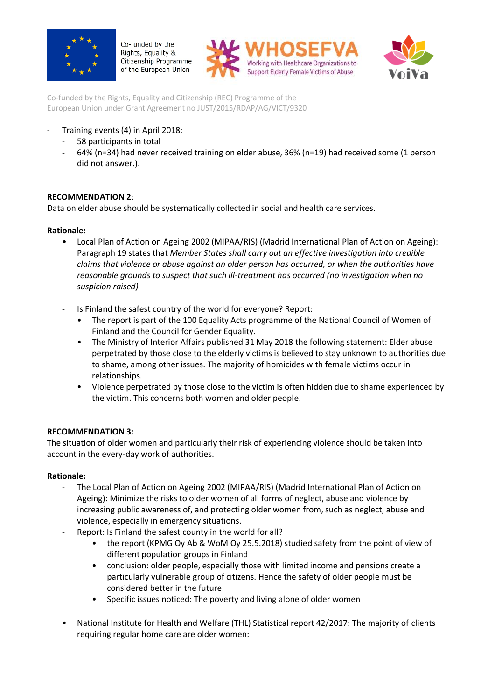

Co-funded by the Rights, Equality & Citizenship Programme of the European Union





Co-funded by the Rights, Equality and Citizenship (REC) Programme of the European Union under Grant Agreement no JUST/2015/RDAP/AG/VICT/9320

## Training events (4) in April 2018:

- 58 participants in total
- 64% (n=34) had never received training on elder abuse, 36% (n=19) had received some (1 person did not answer.).

## **RECOMMENDATION 2**:

Data on elder abuse should be systematically collected in social and health care services.

### **Rationale:**

- Local Plan of Action on Ageing 2002 (MIPAA/RIS) (Madrid International Plan of Action on Ageing): Paragraph 19 states that *Member States shall carry out an effective investigation into credible claims that violence or abuse against an older person has occurred, or when the authorities have reasonable grounds to suspect that such ill-treatment has occurred (no investigation when no suspicion raised)*
- Is Finland the safest country of the world for everyone? Report:
	- The report is part of the 100 Equality Acts programme of the National Council of Women of Finland and the Council for Gender Equality.
	- The Ministry of Interior Affairs published 31 May 2018 the following statement: Elder abuse perpetrated by those close to the elderly victims is believed to stay unknown to authorities due to shame, among other issues. The majority of homicides with female victims occur in relationships.
	- Violence perpetrated by those close to the victim is often hidden due to shame experienced by the victim. This concerns both women and older people.

### **RECOMMENDATION 3:**

The situation of older women and particularly their risk of experiencing violence should be taken into account in the every-day work of authorities.

### **Rationale:**

- The Local Plan of Action on Ageing 2002 (MIPAA/RIS) (Madrid International Plan of Action on Ageing): Minimize the risks to older women of all forms of neglect, abuse and violence by increasing public awareness of, and protecting older women from, such as neglect, abuse and violence, especially in emergency situations.
- Report: Is Finland the safest county in the world for all?
	- the report (KPMG Oy Ab & WoM Oy 25.5.2018) studied safety from the point of view of different population groups in Finland
	- conclusion: older people, especially those with limited income and pensions create a particularly vulnerable group of citizens. Hence the safety of older people must be considered better in the future.
	- Specific issues noticed: The poverty and living alone of older women
- National Institute for Health and Welfare (THL) Statistical report 42/2017: The majority of clients requiring regular home care are older women: